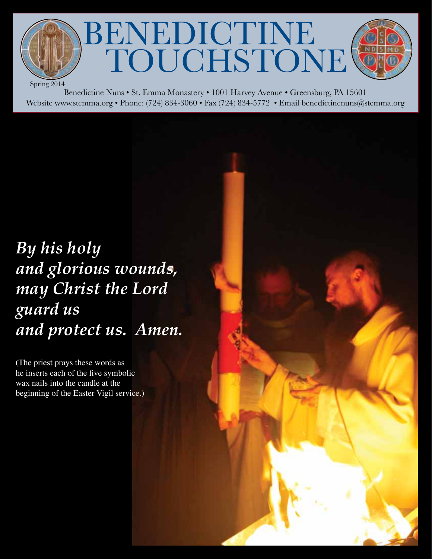TOUCHSTONE Spring 2014

BENEDICTINE

Benedictine Nuns • St. Emma Monastery • 1001 Harvey Avenue • Greensburg, PA 15601 Website www.stemma.org • Phone: (724) 834-3060 • Fax (724) 834-5772 • Email benedictinenuns@stemma.org

# *By his holy and glorious wounds, may Christ the Lord guard us and protect us. Amen.*

(The priest prays these words as he inserts each of the five symbolic wax nails into the candle at the beginning of the Easter Vigil service.)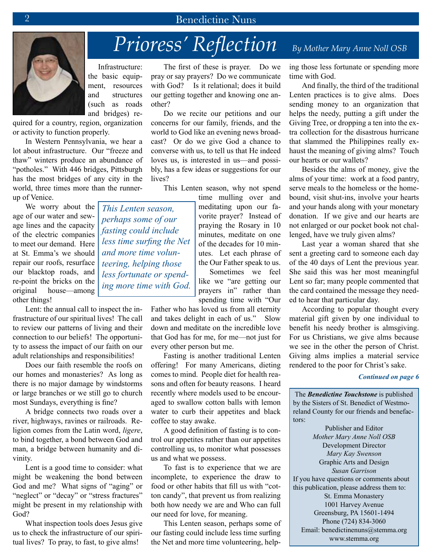# *Prioress' Reflection* By Mother Mary Anne Noll OSB

 Infrastructure: the basic equipment, resources and structures (such as roads and bridges) re-

quired for a country, region, organization or activity to function properly.

In Western Pennsylvania, we hear a lot about infrastructure. Our "freeze and thaw" winters produce an abundance of "potholes." With 446 bridges, Pittsburgh has the most bridges of any city in the world, three times more than the runnerup of Venice.

We worry about the age of our water and sewage lines and the capacity of the electric companies to meet our demand. Here at St. Emma's we should repair our roofs, resurface our blacktop roads, and re-point the bricks on the original house—among other things!

Lent: the annual call to inspect the infrastructure of our spiritual lives! The call to review our patterns of living and their connection to our beliefs! The opportunity to assess the impact of our faith on our adult relationships and responsibilities!

 Does our faith resemble the roofs on our homes and monasteries? As long as there is no major damage by windstorms or large branches or we still go to church most Sundays, everything is fine?

A bridge connects two roads over a river, highways, ravines or railroads. Religion comes from the Latin word, *ligere*, to bind together, a bond between God and man, a bridge between humanity and divinity.

Lent is a good time to consider: what might be weakening the bond between God and me? What signs of "aging" or "neglect" or "decay" or "stress fractures" might be present in my relationship with God?

What inspection tools does Jesus give us to check the infrastructure of our spiritual lives? To pray, to fast, to give alms!

The first of these is prayer. Do we pray or say prayers? Do we communicate with God? Is it relational; does it build our getting together and knowing one another?

Do we recite our petitions and our concerns for our family, friends, and the world to God like an evening news broadcast? Or do we give God a chance to converse with us, to tell us that He indeed loves us, is interested in us—and possibly, has a few ideas or suggestions for our lives?

This Lenten season, why not spend

time mulling over and meditating upon our favorite prayer? Instead of praying the Rosary in 10 minutes, meditate on one of the decades for 10 minutes. Let each phrase of the Our Father speak to us.

 Sometimes we feel like we "are getting our prayers in" rather than spending time with "Our

Father who has loved us from all eternity and takes delight in each of us." Slow down and meditate on the incredible love that God has for me, for me—not just for every other person but me.

Fasting is another traditional Lenten offering! For many Americans, dieting comes to mind. People diet for health reasons and often for beauty reasons. I heard recently where models used to be encouraged to swallow cotton balls with lemon water to curb their appetites and black coffee to stay awake.

A good definition of fasting is to control our appetites rather than our appetites controlling us, to monitor what possesses us and what we possess.

To fast is to experience that we are incomplete, to experience the draw to food or other habits that fill us with "cotton candy", that prevent us from realizing both how needy we are and Who can full our need for love, for meaning.

This Lenten season, perhaps some of our fasting could include less time surfing the Net and more time volunteering, helping those less fortunate or spending more time with God.

And finally, the third of the traditional Lenten practices is to give alms. Does sending money to an organization that helps the needy, putting a gift under the Giving Tree, or dropping a ten into the extra collection for the disastrous hurricane that slammed the Philippines really exhaust the meaning of giving alms? Touch our hearts or our wallets?

Besides the alms of money, give the alms of your time: work at a food pantry, serve meals to the homeless or the homebound, visit shut-ins, involve your hearts and your hands along with your monetary donation. If we give and our hearts are not enlarged or our pocket book not challenged, have we truly given alms?

Last year a woman shared that she sent a greeting card to someone each day of the 40 days of Lent the previous year. She said this was her most meaningful Lent so far; many people commented that the card contained the message they needed to hear that particular day.

According to popular thought every material gift given by one individual to benefit his needy brother is almsgiving. For us Christians, we give alms because we see in the other the person of Christ. Giving alms implies a material service rendered to the poor for Christ's sake.

#### *Continued on page 6*

The *Benedictine Touchstone* is published by the Sisters of St. Benedict of Westmoreland County for our friends and benefactors:

Publisher and Editor *Mother Mary Anne Noll OSB* Development Director *Mary Kay Swenson* Graphic Arts and Design *Susan Garrison* If you have questions or comments about this publication, please address them to: St. Emma Monastery 1001 Harvey Avenue Greensburg, PA 15601-1494 Phone (724) 834-3060 Email: benedictinenuns@stemma.org www.stemma.org

*This Lenten season, perhaps some of our fasting could include less time surfing the Net and more time volunteering, helping those less fortunate or spending more time with God.*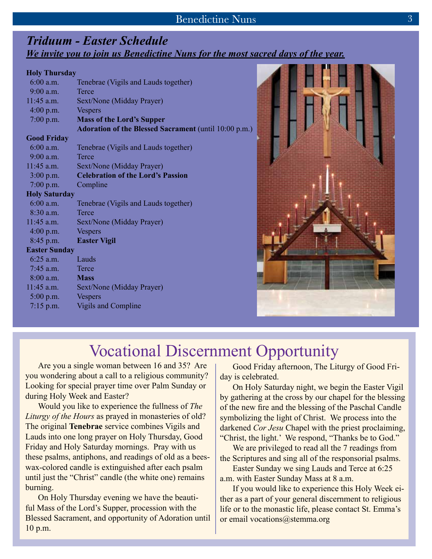## *Priduum - Easter Schedule We invite you to join us Benedictine Nuns for the most sacred days of the year.*

#### **Holy Thursday**

| $6:00$ a.m.          | Tenebrae (Vigils and Lauds together)                         |
|----------------------|--------------------------------------------------------------|
| $9:00$ a.m.          | Terce                                                        |
| $11:45$ a.m.         | Sext/None (Midday Prayer)                                    |
| $4:00$ p.m.          | <b>Vespers</b>                                               |
| $7:00$ p.m.          | <b>Mass of the Lord's Supper</b>                             |
|                      | <b>Adoration of the Blessed Sacrament (until 10:00 p.m.)</b> |
| <b>Good Friday</b>   |                                                              |
| $6:00$ a.m.          | Tenebrae (Vigils and Lauds together)                         |
| 9:00 a.m.            | Terce                                                        |
| 11:45 a.m.           | Sext/None (Midday Prayer)                                    |
| $3:00$ p.m.          | <b>Celebration of the Lord's Passion</b>                     |
| $7:00$ p.m.          | Compline                                                     |
| <b>Holy Saturday</b> |                                                              |
| $6:00$ a.m.          | Tenebrae (Vigils and Lauds together)                         |
| $8:30$ a.m.          | Terce                                                        |
| $11:45$ a.m.         | Sext/None (Midday Prayer)                                    |
| $4:00$ p.m.          | <b>Vespers</b>                                               |
| 8:45 p.m.            | <b>Easter Vigil</b>                                          |
| <b>Easter Sunday</b> |                                                              |
| $6:25$ a.m.          | Lauds                                                        |
| $7:45$ a.m.          | Terce                                                        |
| $8:00$ a.m.          | <b>Mass</b>                                                  |
| $11:45$ a.m.         | Sext/None (Midday Prayer)                                    |
| $5:00$ p.m.          | <b>Vespers</b>                                               |
| $7:15$ p.m.          | <b>Vigils and Compline</b>                                   |



# Vocational Discernment Opportunity

Are you a single woman between 16 and 35? Are you wondering about a call to a religious community? Looking for special prayer time over Palm Sunday or during Holy Week and Easter?

Would you like to experience the fullness of *The Liturgy of the Hours* as prayed in monasteries of old? The original **Tenebrae** service combines Vigils and Lauds into one long prayer on Holy Thursday, Good Friday and Holy Saturday mornings. Pray with us these psalms, antiphons, and readings of old as a beeswax-colored candle is extinguished after each psalm until just the "Christ" candle (the white one) remains burning.

On Holy Thursday evening we have the beautiful Mass of the Lord's Supper, procession with the Blessed Sacrament, and opportunity of Adoration until 10 p.m.

Good Friday afternoon, The Liturgy of Good Friday is celebrated.

On Holy Saturday night, we begin the Easter Vigil by gathering at the cross by our chapel for the blessing of the new fire and the blessing of the Paschal Candle symbolizing the light of Christ. We process into the darkened *Cor Jesu* Chapel with the priest proclaiming, "Christ, the light.' We respond, "Thanks be to God."

We are privileged to read all the 7 readings from the Scriptures and sing all of the responsorial psalms.

Easter Sunday we sing Lauds and Terce at 6:25 a.m. with Easter Sunday Mass at 8 a.m.

If you would like to experience this Holy Week either as a part of your general discernment to religious life or to the monastic life, please contact St. Emma's or email vocations@stemma.org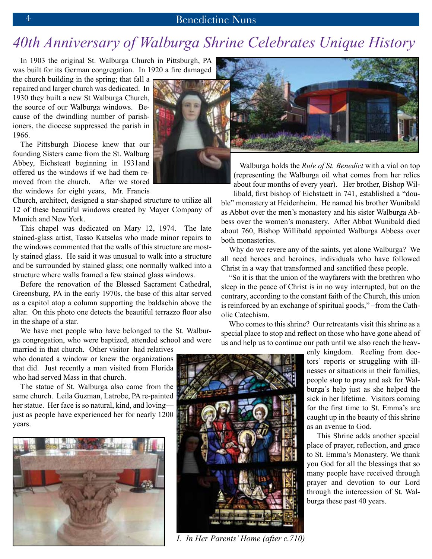# *40th Anniversary of Walburga Shrine Celebrates Unique History*

In 1903 the original St. Walburga Church in Pittsburgh, PA was built for its German congregation. In 1920 a fire damaged

the church building in the spring; that fall a repaired and larger church was dedicated. In 1930 they built a new St Walburga Church, the source of our Walburga windows. Because of the dwindling number of parishioners, the diocese suppressed the parish in 1966.

The Pittsburgh Diocese knew that our founding Sisters came from the St. Walburg Abbey, Eichsteatt beginning in 1931and offered us the windows if we had them removed from the church. After we stored the windows for eight years, Mr. Francis

Church, architect, designed a star-shaped structure to utilize all 12 of these beautiful windows created by Mayer Company of Munich and New York.

This chapel was dedicated on Mary 12, 1974. The late stained-glass artist, Tasso Katselas who made minor repairs to the windows commented that the walls of this structure are mostly stained glass. He said it was unusual to walk into a structure and be surrounded by stained glass; one normally walked into a structure where walls framed a few stained glass windows.

Before the renovation of the Blessed Sacrament Cathedral, Greensburg, PA in the early 1970s, the base of this altar served as a capitol atop a column supporting the baldachin above the altar. On this photo one detects the beautiful terrazzo floor also in the shape of a star.

We have met people who have belonged to the St. Walburga congregation, who were baptized, attended school and were

married in that church. Other visitor had relatives who donated a window or knew the organizations that did. Just recently a man visited from Florida who had served Mass in that church.

The statue of St. Walburga also came from the same church. Leila Guzman, Latrobe, PA re-painted her statue. Her face is so natural, kind, and loving just as people have experienced her for nearly 1200 years.





(representing the Walburga oil what comes from her relics about four months of every year). Her brother, Bishop Willibald, first bishop of Eichstaett in 741, established a "dou-

ble" monastery at Heidenheim. He named his brother Wunibald as Abbot over the men's monastery and his sister Walburga Abbess over the women's monastery. After Abbot Wunibald died about 760, Bishop Willibald appointed Walburga Abbess over both monasteries.

Why do we revere any of the saints, yet alone Walburga? We all need heroes and heroines, individuals who have followed Christ in a way that transformed and sanctified these people.

"So it is that the union of the wayfarers with the brethren who sleep in the peace of Christ is in no way interrupted, but on the contrary, according to the constant faith of the Church, this union is reinforced by an exchange of spiritual goods," –from the Catholic Catechism.

 Who comes to this shrine? Our retreatants visit this shrine as a special place to stop and reflect on those who have gone ahead of us and help us to continue our path until we also reach the heav-



*I. In Her Parents' Home (after c.710)*

enly kingdom. Reeling from doctors' reports or struggling with illnesses or situations in their families, people stop to pray and ask for Walburga's help just as she helped the sick in her lifetime. Visitors coming for the first time to St. Emma's are caught up in the beauty of this shrine as an avenue to God.

 This Shrine adds another special place of prayer, reflection, and grace to St. Emma's Monastery. We thank you God for all the blessings that so many people have received through prayer and devotion to our Lord through the intercession of St. Walburga these past 40 years.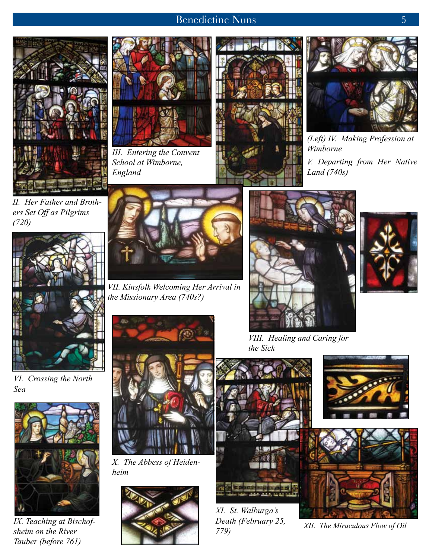



*III. Entering the Convent School at Wimborne, England*





*(Left) IV. Making Profession at Wimborne V. Departing from Her Native Land (740s)*

*II. Her Father and Brothers Set Off as Pilgrims (720)*



*VI. Crossing the North Sea*



*IX. Teaching at Bischofsheim on the River Tauber (before 761)*



*VII. Kinsfolk Welcoming Her Arrival in the Missionary Area (740s?)*



*X. The Abbess of Heidenheim*





*VIII. Healing and Caring for the Sick*



*XI. St. Walburga's Death (February 25,* 



*779) XII. The Miraculous Flow of Oil*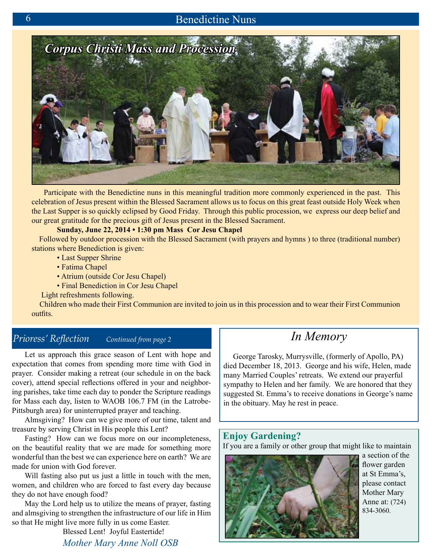

 Participate with the Benedictine nuns in this meaningful tradition more commonly experienced in the past. This celebration of Jesus present within the Blessed Sacrament allows us to focus on this great feast outside Holy Week when the Last Supper is so quickly eclipsed by Good Friday. Through this public procession, we express our deep belief and our great gratitude for the precious gift of Jesus present in the Blessed Sacrament.

#### **Sunday, June 22, 2014 • 1:30 pm Mass Cor Jesu Chapel**

 Followed by outdoor procession with the Blessed Sacrament (with prayers and hymns ) to three (traditional number) stations where Benediction is given:

- Last Supper Shrine
- Fatima Chapel
- Atrium (outside Cor Jesu Chapel)
- Final Benediction in Cor Jesu Chapel
- Light refreshments following.

 Children who made their First Communion are invited to join us in this procession and to wear their First Communion outfits.

### *Prioress' Reflection Continued from page 2*

Let us approach this grace season of Lent with hope and expectation that comes from spending more time with God in prayer. Consider making a retreat (our schedule in on the back cover), attend special reflections offered in your and neighboring parishes, take time each day to ponder the Scripture readings for Mass each day, listen to WAOB 106.7 FM (in the Latrobe-Pittsburgh area) for uninterrupted prayer and teaching.

Almsgiving? How can we give more of our time, talent and treasure by serving Christ in His people this Lent?

Fasting? How can we focus more on our incompleteness, on the beautiful reality that we are made for something more wonderful than the best we can experience here on earth? We are made for union with God forever.

Will fasting also put us just a little in touch with the men, women, and children who are forced to fast every day because they do not have enough food?

May the Lord help us to utilize the means of prayer, fasting and almsgiving to strengthen the infrastructure of our life in Him so that He might live more fully in us come Easter.

Blessed Lent! Joyful Eastertide! *Mother Mary Anne Noll OSB*

# *In Memory*

 George Tarosky, Murrysville, (formerly of Apollo, PA) died December 18, 2013. George and his wife, Helen, made many Married Couples' retreats. We extend our prayerful sympathy to Helen and her family. We are honored that they suggested St. Emma's to receive donations in George's name in the obituary. May he rest in peace.

### **Enjoy Gardening?**

If you are a family or other group that might like to maintain



a section of the flower garden at St Emma's, please contact Mother Mary Anne at: (724) 834-3060.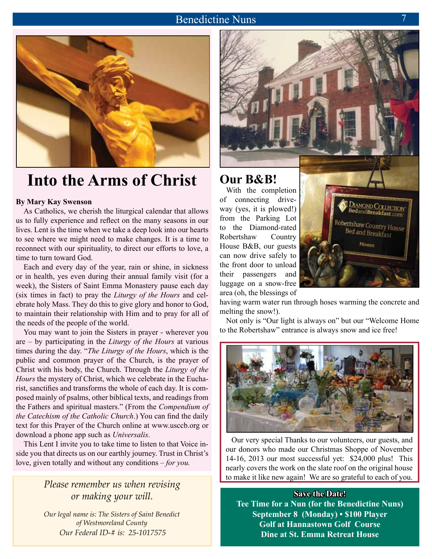

# **Into the Arms of Christ**

#### **By Mary Kay Swenson**

As Catholics, we cherish the liturgical calendar that allows us to fully experience and reflect on the many seasons in our lives. Lent is the time when we take a deep look into our hearts to see where we might need to make changes. It is a time to reconnect with our spirituality, to direct our efforts to love, a time to turn toward God.

Each and every day of the year, rain or shine, in sickness or in health, yes even during their annual family visit (for a week), the Sisters of Saint Emma Monastery pause each day (six times in fact) to pray the *Liturgy of the Hours* and celebrate holy Mass. They do this to give glory and honor to God, to maintain their relationship with Him and to pray for all of the needs of the people of the world.

You may want to join the Sisters in prayer - wherever you are – by participating in the *Liturgy of the Hours* at various times during the day. "*The Liturgy of the Hours*, which is the public and common prayer of the Church, is the prayer of Christ with his body, the Church. Through the *Liturgy of the Hours* the mystery of Christ, which we celebrate in the Eucharist, sanctifies and transforms the whole of each day. It is composed mainly of psalms, other biblical texts, and readings from the Fathers and spiritual masters." (From the *Compendium of the Catechism of the Catholic Church*.) You can find the daily text for this Prayer of the Church online at www.usccb.org or download a phone app such as *Universalis*.

This Lent I invite you to take time to listen to that Voice inside you that directs us on our earthly journey. Trust in Christ's love, given totally and without any conditions – *for you.* 

### *Please remember us when revising or making your will.*

*Our legal name is: The Sisters of Saint Benedict of Westmoreland County Our Federal ID‑# is: 25-1017575*



With the completion of connecting driveway (yes, it is plowed!) from the Parking Lot to the Diamond-rated Robertshaw Country House B&B, our guests can now drive safely to the front door to unload their passengers and luggage on a snow-free area (oh, the blessings of



having warm water run through hoses warming the concrete and melting the snow!).

Not only is "Our light is always on" but our "Welcome Home to the Robertshaw" entrance is always snow and ice free!



 Our very special Thanks to our volunteers, our guests, and our donors who made our Christmas Shoppe of November 14-16, 2013 our most successful yet: \$24,000 plus! This nearly covers the work on the slate roof on the original house to make it like new again! We are so grateful to each of you.

**Save the Date! Tee Time for a Nun (for the Benedictine Nuns) September 8 (Monday) • \$100 Player Golf at Hannastown Golf Course Dine at St. Emma Retreat House**